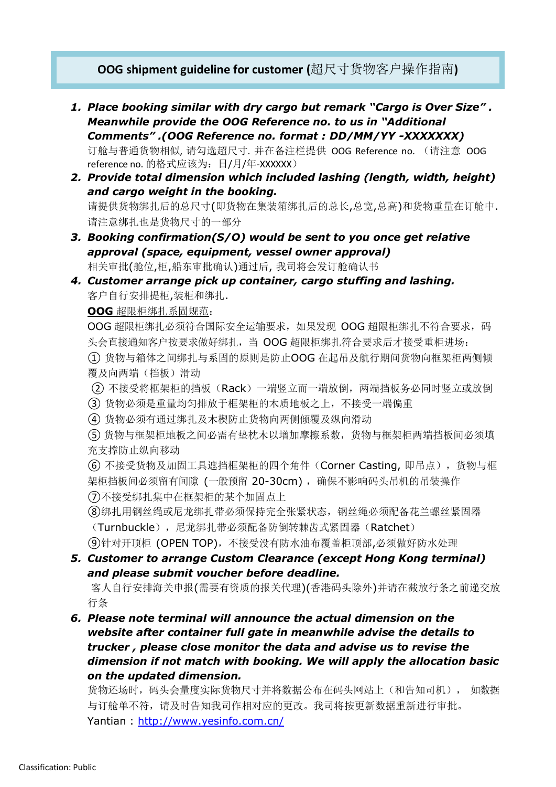# **OOG shipment guideline for customer (**超尺寸货物客户操作指南**)**

- *1. Place booking similar with dry cargo but remark "Cargo is Over Size" . Meanwhile provide the OOG Reference no. to us in "Additional Comments" .(OOG Reference no. format : DD/MM/YY -XXXXXXX)* 订舱与普通货物相似, 请勾选超尺寸. 并在备注栏提供 OOG Reference no. (请注意 OOG
- reference no. 的格式应该为:日/月/年-XXXXXX) *2. Provide total dimension which included lashing (length, width, height) and cargo weight in the booking.* 请提供货物绑扎后的总尺寸(即货物在集装箱绑扎后的总长,总宽,总高)和货物重量在订舱中. 请注意绑扎也是货物尺寸的一部分
- *3. Booking confirmation(S/O) would be sent to you once get relative approval (space, equipment, vessel owner approval)* 相关审批(舱位,柜,船东审批确认)通过后, 我司将会发订舱确认书
- *4. Customer arrange pick up container, cargo stuffing and lashing.* 客户自行安排提柜,装柜和绑扎.

#### **OOG** 超限柜绑扎系固规范:

OOG 超限柜绑扎必须符合国际安全运输要求,如果发现 OOG 超限柜绑扎不符合要求,码 头会直接通知客户按要求做好绑扎, 当 OOG 超限柜绑扎符合要求后才接受重柜进场: ① 货物与箱体之间绑扎与系固的原则是防止OOG 在起吊及航行期间货物向框架柜两侧倾 覆及向两端(挡板)滑动

- (2) 不接受将框架柜的挡板(Rack)一端竖立而一端放倒, 两端挡板务必同时竖立或放倒
- ③ 货物必须是重量均匀排放于框架柜的木质地板之上,不接受一端偏重
- ④ 货物必须有通过绑扎及木楔防止货物向两侧倾覆及纵向滑动

⑤ 货物与框架柜地板之间必需有垫枕木以增加摩擦系数,货物与框架柜两端挡板间必须填 充支撑防止纵向移动

⑥ 不接受货物及加固工具遮挡框架柜的四个角件(Corner Casting, 即吊点),货物与框 架柜挡板间必须留有间隙 (一般预留 20-30cm), 确保不影响码头吊机的吊装操作 ⑦不接受绑扎集中在框架柜的某个加固点上

⑧绑扎用钢丝绳或尼龙绑扎带必须保持完全张紧状态,钢丝绳必须配备花兰螺丝紧固器 (Turnbuckle), 尼龙绑扎带必须配备防倒转棘齿式紧固器(Ratchet)

⑨针对开顶柜 (OPEN TOP),不接受没有防水油布覆盖柜顶部,必须做好防水处理

## *5. Customer to arrange Custom Clearance (except Hong Kong terminal) and please submit voucher before deadline.*

客人自行安排海关申报(需要有资质的报关代理)(香港码头除外)并请在截放行条之前递交放 行条

*6. Please note terminal will announce the actual dimension on the website after container full gate in meanwhile advise the details to trucker , please close monitor the data and advise us to revise the dimension if not match with booking. We will apply the allocation basic on the updated dimension.*

货物还场时,码头会量度实际货物尺寸并将数据公布在码头网站上(和告知司机), 如数据 与订舱单不符,请及时告知我司作相对应的更改。我司将按更新数据重新进行审批。 Yantian :<http://www.yesinfo.com.cn/>